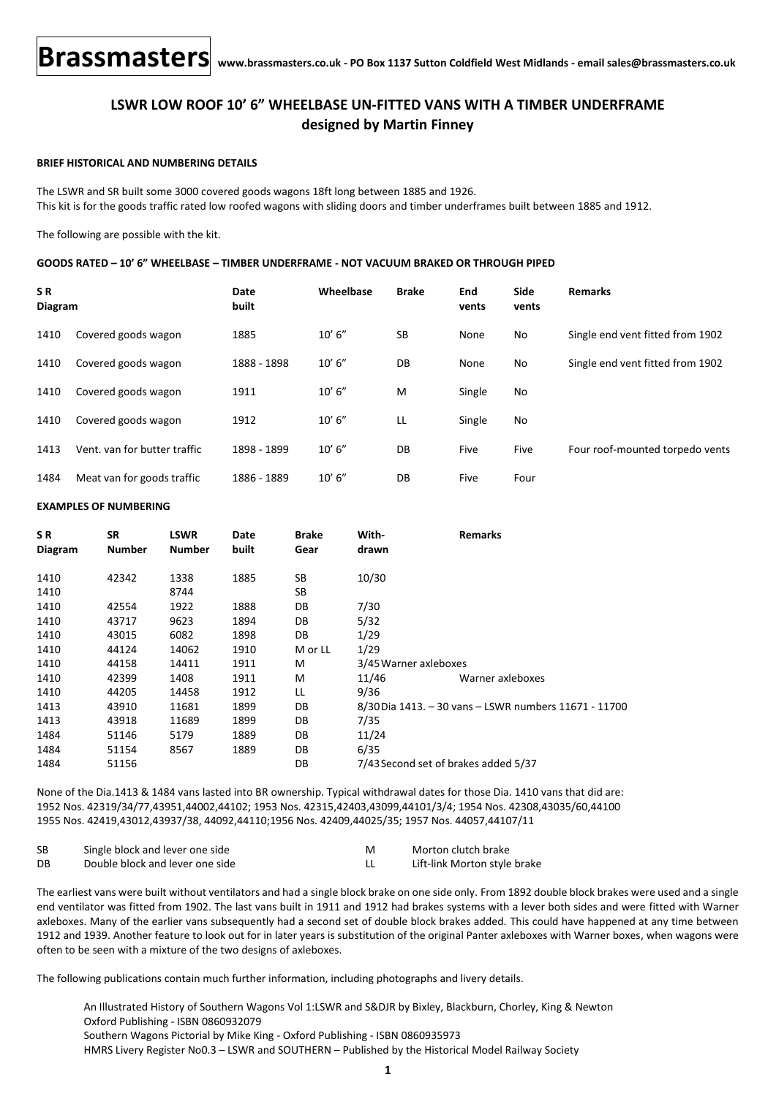

# **LSWR LOW ROOF 10' 6" WHEELBASE UN-FITTED VANS WITH A TIMBER UNDERFRAME designed by Martin Finney**

# **BRIEF HISTORICAL AND NUMBERING DETAILS**

The LSWR and SR built some 3000 covered goods wagons 18ft long between 1885 and 1926. This kit is for the goods traffic rated low roofed wagons with sliding doors and timber underframes built between 1885 and 1912.

The following are possible with the kit.

## **GOODS RATED – 10' 6" WHEELBASE – TIMBER UNDERFRAME - NOT VACUUM BRAKED OR THROUGH PIPED**

| SR.<br>Diagram |                              | Date<br>built | Wheelbase | <b>Brake</b> | End<br>vents | <b>Side</b><br>vents | <b>Remarks</b>                   |
|----------------|------------------------------|---------------|-----------|--------------|--------------|----------------------|----------------------------------|
| 1410           | Covered goods wagon          | 1885          | 10' 6''   | <b>SB</b>    | None         | No                   | Single end vent fitted from 1902 |
| 1410           | Covered goods wagon          | 1888 - 1898   | 10' 6''   | DB           | None         | No                   | Single end vent fitted from 1902 |
| 1410           | Covered goods wagon          | 1911          | 10' 6''   | M            | Single       | No                   |                                  |
| 1410           | Covered goods wagon          | 1912          | 10' 6''   | LL           | Single       | No                   |                                  |
| 1413           | Vent. van for butter traffic | 1898 - 1899   | 10' 6''   | DB           | Five         | Five                 | Four roof-mounted torpedo vents  |
| 1484           | Meat van for goods traffic   | 1886 - 1889   | 10' 6''   | DB           | Five         | Four                 |                                  |

### **EXAMPLES OF NUMBERING**

| S R<br>Diagram | <b>SR</b><br><b>Number</b> | LSWR<br><b>Number</b> | Date<br>built | <b>Brake</b><br>Gear | With-<br>drawn                       | <b>Remarks</b>                                        |
|----------------|----------------------------|-----------------------|---------------|----------------------|--------------------------------------|-------------------------------------------------------|
|                |                            |                       |               |                      |                                      |                                                       |
| 1410           | 42342                      | 1338                  | 1885          | SB                   | 10/30                                |                                                       |
| 1410           |                            | 8744                  |               | SB                   |                                      |                                                       |
| 1410           | 42554                      | 1922                  | 1888          | DB                   | 7/30                                 |                                                       |
| 1410           | 43717                      | 9623                  | 1894          | DB                   | 5/32                                 |                                                       |
| 1410           | 43015                      | 6082                  | 1898          | DB                   | 1/29                                 |                                                       |
| 1410           | 44124                      | 14062                 | 1910          | M or LL              | 1/29                                 |                                                       |
| 1410           | 44158                      | 14411                 | 1911          | м                    | 3/45 Warner axleboxes                |                                                       |
| 1410           | 42399                      | 1408                  | 1911          | м                    | 11/46                                | Warner axleboxes                                      |
| 1410           | 44205                      | 14458                 | 1912          | LL                   | 9/36                                 |                                                       |
| 1413           | 43910                      | 11681                 | 1899          | DB                   |                                      | 8/30 Dia 1413. - 30 vans - LSWR numbers 11671 - 11700 |
| 1413           | 43918                      | 11689                 | 1899          | DB                   | 7/35                                 |                                                       |
| 1484           | 51146                      | 5179                  | 1889          | DB                   | 11/24                                |                                                       |
| 1484           | 51154                      | 8567                  | 1889          | DB                   | 6/35                                 |                                                       |
| 1484           | 51156                      |                       |               | DB                   | 7/43 Second set of brakes added 5/37 |                                                       |

None of the Dia.1413 & 1484 vans lasted into BR ownership. Typical withdrawal dates for those Dia. 1410 vans that did are: 1952 Nos. 42319/34/77,43951,44002,44102; 1953 Nos. 42315,42403,43099,44101/3/4; 1954 Nos. 42308,43035/60,44100 1955 Nos. 42419,43012,43937/38, 44092,44110;1956 Nos. 42409,44025/35; 1957 Nos. 44057,44107/11

| <b>SB</b> | Single block and lever one side | M | Morton clutch brake          |
|-----------|---------------------------------|---|------------------------------|
| DB        | Double block and lever one side |   | Lift-link Morton style brake |

The earliest vans were built without ventilators and had a single block brake on one side only. From 1892 double block brakes were used and a single end ventilator was fitted from 1902. The last vans built in 1911 and 1912 had brakes systems with a lever both sides and were fitted with Warner axleboxes. Many of the earlier vans subsequently had a second set of double block brakes added. This could have happened at any time between 1912 and 1939. Another feature to look out for in later years is substitution of the original Panter axleboxes with Warner boxes, when wagons were often to be seen with a mixture of the two designs of axleboxes.

The following publications contain much further information, including photographs and livery details.

An Illustrated History of Southern Wagons Vol 1:LSWR and S&DJR by Bixley, Blackburn, Chorley, King & Newton Oxford Publishing - ISBN 0860932079 Southern Wagons Pictorial by Mike King - Oxford Publishing - ISBN 0860935973 HMRS Livery Register No0.3 – LSWR and SOUTHERN – Published by the Historical Model Railway Society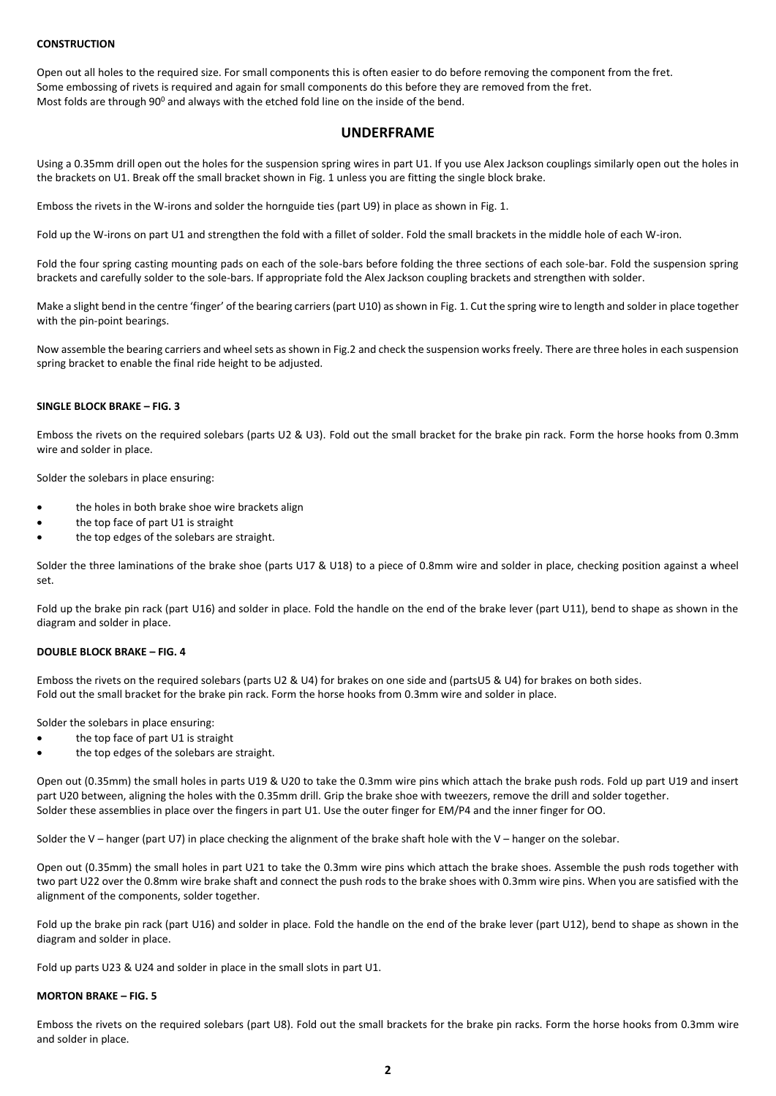## **CONSTRUCTION**

Open out all holes to the required size. For small components this is often easier to do before removing the component from the fret. Some embossing of rivets is required and again for small components do this before they are removed from the fret. Most folds are through 90<sup>0</sup> and always with the etched fold line on the inside of the bend.

# **UNDERFRAME**

Using a 0.35mm drill open out the holes for the suspension spring wires in part U1. If you use Alex Jackson couplings similarly open out the holes in the brackets on U1. Break off the small bracket shown in Fig. 1 unless you are fitting the single block brake.

Emboss the rivets in the W-irons and solder the hornguide ties (part U9) in place as shown in Fig. 1.

Fold up the W-irons on part U1 and strengthen the fold with a fillet of solder. Fold the small brackets in the middle hole of each W-iron.

Fold the four spring casting mounting pads on each of the sole-bars before folding the three sections of each sole-bar. Fold the suspension spring brackets and carefully solder to the sole-bars. If appropriate fold the Alex Jackson coupling brackets and strengthen with solder.

Make a slight bend in the centre 'finger' of the bearing carriers (part U10) as shown in Fig. 1. Cut the spring wire to length and solder in place together with the pin-point bearings.

Now assemble the bearing carriers and wheel sets as shown in Fig.2 and check the suspension works freely. There are three holes in each suspension spring bracket to enable the final ride height to be adjusted.

# **SINGLE BLOCK BRAKE – FIG. 3**

Emboss the rivets on the required solebars (parts U2 & U3). Fold out the small bracket for the brake pin rack. Form the horse hooks from 0.3mm wire and solder in place.

Solder the solebars in place ensuring:

- the holes in both brake shoe wire brackets align
- the top face of part U1 is straight
- the top edges of the solebars are straight.

Solder the three laminations of the brake shoe (parts U17 & U18) to a piece of 0.8mm wire and solder in place, checking position against a wheel set.

Fold up the brake pin rack (part U16) and solder in place. Fold the handle on the end of the brake lever (part U11), bend to shape as shown in the diagram and solder in place.

## **DOUBLE BLOCK BRAKE – FIG. 4**

Emboss the rivets on the required solebars (parts U2 & U4) for brakes on one side and (partsU5 & U4) for brakes on both sides. Fold out the small bracket for the brake pin rack. Form the horse hooks from 0.3mm wire and solder in place.

Solder the solebars in place ensuring:

- the top face of part U1 is straight
- the top edges of the solebars are straight.

Open out (0.35mm) the small holes in parts U19 & U20 to take the 0.3mm wire pins which attach the brake push rods. Fold up part U19 and insert part U20 between, aligning the holes with the 0.35mm drill. Grip the brake shoe with tweezers, remove the drill and solder together. Solder these assemblies in place over the fingers in part U1. Use the outer finger for EM/P4 and the inner finger for OO.

Solder the V – hanger (part U7) in place checking the alignment of the brake shaft hole with the V – hanger on the solebar.

Open out (0.35mm) the small holes in part U21 to take the 0.3mm wire pins which attach the brake shoes. Assemble the push rods together with two part U22 over the 0.8mm wire brake shaft and connect the push rods to the brake shoes with 0.3mm wire pins. When you are satisfied with the alignment of the components, solder together.

Fold up the brake pin rack (part U16) and solder in place. Fold the handle on the end of the brake lever (part U12), bend to shape as shown in the diagram and solder in place.

Fold up parts U23 & U24 and solder in place in the small slots in part U1.

#### **MORTON BRAKE – FIG. 5**

Emboss the rivets on the required solebars (part U8). Fold out the small brackets for the brake pin racks. Form the horse hooks from 0.3mm wire and solder in place.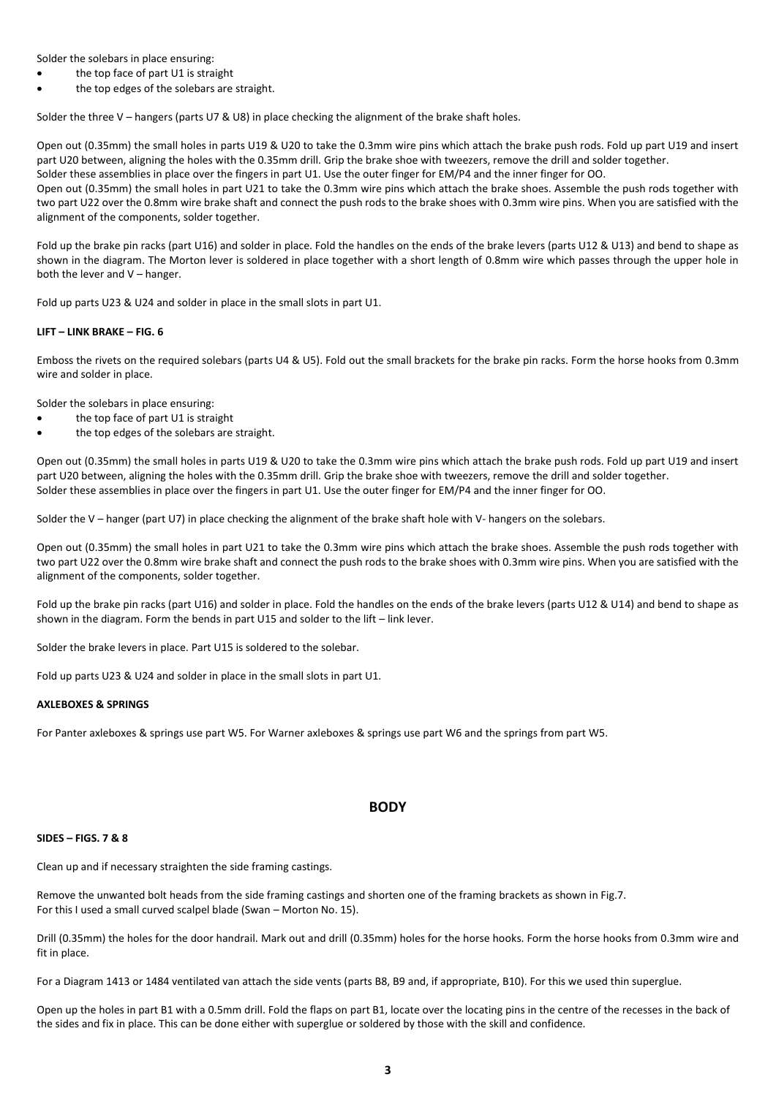Solder the solebars in place ensuring:

- the top face of part U1 is straight
- the top edges of the solebars are straight.

Solder the three V – hangers (parts U7 & U8) in place checking the alignment of the brake shaft holes.

Open out (0.35mm) the small holes in parts U19 & U20 to take the 0.3mm wire pins which attach the brake push rods. Fold up part U19 and insert part U20 between, aligning the holes with the 0.35mm drill. Grip the brake shoe with tweezers, remove the drill and solder together. Solder these assemblies in place over the fingers in part U1. Use the outer finger for EM/P4 and the inner finger for OO. Open out (0.35mm) the small holes in part U21 to take the 0.3mm wire pins which attach the brake shoes. Assemble the push rods together with two part U22 over the 0.8mm wire brake shaft and connect the push rods to the brake shoes with 0.3mm wire pins. When you are satisfied with the alignment of the components, solder together.

Fold up the brake pin racks (part U16) and solder in place. Fold the handles on the ends of the brake levers (parts U12 & U13) and bend to shape as shown in the diagram. The Morton lever is soldered in place together with a short length of 0.8mm wire which passes through the upper hole in both the lever and  $V$  – hanger.

Fold up parts U23 & U24 and solder in place in the small slots in part U1.

## **LIFT – LINK BRAKE – FIG. 6**

Emboss the rivets on the required solebars (parts U4 & U5). Fold out the small brackets for the brake pin racks. Form the horse hooks from 0.3mm wire and solder in place.

Solder the solebars in place ensuring:

- the top face of part U1 is straight
- the top edges of the solebars are straight.

Open out (0.35mm) the small holes in parts U19 & U20 to take the 0.3mm wire pins which attach the brake push rods. Fold up part U19 and insert part U20 between, aligning the holes with the 0.35mm drill. Grip the brake shoe with tweezers, remove the drill and solder together. Solder these assemblies in place over the fingers in part U1. Use the outer finger for EM/P4 and the inner finger for OO.

Solder the V – hanger (part U7) in place checking the alignment of the brake shaft hole with V- hangers on the solebars.

Open out (0.35mm) the small holes in part U21 to take the 0.3mm wire pins which attach the brake shoes. Assemble the push rods together with two part U22 over the 0.8mm wire brake shaft and connect the push rods to the brake shoes with 0.3mm wire pins. When you are satisfied with the alignment of the components, solder together.

Fold up the brake pin racks (part U16) and solder in place. Fold the handles on the ends of the brake levers (parts U12 & U14) and bend to shape as shown in the diagram. Form the bends in part U15 and solder to the lift – link lever.

Solder the brake levers in place. Part U15 is soldered to the solebar.

Fold up parts U23 & U24 and solder in place in the small slots in part U1.

## **AXLEBOXES & SPRINGS**

For Panter axleboxes & springs use part W5. For Warner axleboxes & springs use part W6 and the springs from part W5.

# **BODY**

#### **SIDES – FIGS. 7 & 8**

Clean up and if necessary straighten the side framing castings.

Remove the unwanted bolt heads from the side framing castings and shorten one of the framing brackets as shown in Fig.7. For this I used a small curved scalpel blade (Swan – Morton No. 15).

Drill (0.35mm) the holes for the door handrail. Mark out and drill (0.35mm) holes for the horse hooks. Form the horse hooks from 0.3mm wire and fit in place.

For a Diagram 1413 or 1484 ventilated van attach the side vents (parts B8, B9 and, if appropriate, B10). For this we used thin superglue.

Open up the holes in part B1 with a 0.5mm drill. Fold the flaps on part B1, locate over the locating pins in the centre of the recesses in the back of the sides and fix in place. This can be done either with superglue or soldered by those with the skill and confidence.